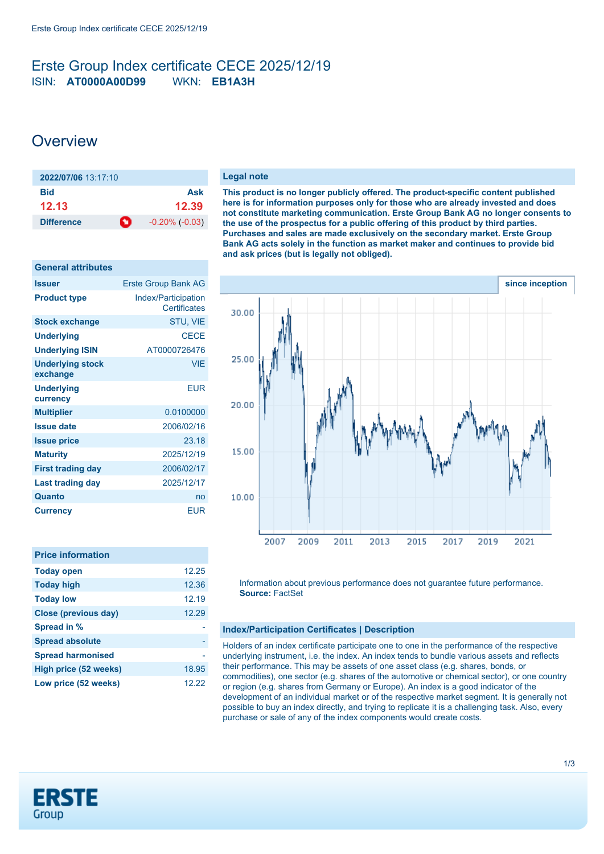### <span id="page-0-0"></span>Erste Group Index certificate CECE 2025/12/19 ISIN: **AT0000A00D99** WKN: **EB1A3H**

## **Overview**

| 2022/07/06 13:17:10 |     |                     |
|---------------------|-----|---------------------|
| <b>Bid</b>          |     | Ask                 |
| 12.13               |     | 12.39               |
| <b>Difference</b>   | -0∹ | $-0.20\%$ $(-0.03)$ |

| <b>General attributes</b>           |                                            |
|-------------------------------------|--------------------------------------------|
| <b>Issuer</b>                       | <b>Erste Group Bank AG</b>                 |
| <b>Product type</b>                 | Index/Participation<br><b>Certificates</b> |
| <b>Stock exchange</b>               | STU, VIE                                   |
| <b>Underlying</b>                   | <b>CECE</b>                                |
| <b>Underlying ISIN</b>              | AT0000726476                               |
| <b>Underlying stock</b><br>exchange | <b>VIE</b>                                 |
| <b>Underlying</b><br>currency       | <b>EUR</b>                                 |
| <b>Multiplier</b>                   | 0.0100000                                  |
| <b>Issue date</b>                   | 2006/02/16                                 |
| <b>Issue price</b>                  | 23.18                                      |
| <b>Maturity</b>                     | 2025/12/19                                 |
| <b>First trading day</b>            | 2006/02/17                                 |
| Last trading day                    | 2025/12/17                                 |
| Quanto                              | no                                         |
| <b>Currency</b>                     | <b>EUR</b>                                 |

| <b>Price information</b>    |       |
|-----------------------------|-------|
| <b>Today open</b>           | 12.25 |
| <b>Today high</b>           | 12.36 |
| <b>Today low</b>            | 12.19 |
| <b>Close (previous day)</b> | 12.29 |
| Spread in %                 |       |
| <b>Spread absolute</b>      |       |
| <b>Spread harmonised</b>    |       |
| High price (52 weeks)       | 18.95 |
| Low price (52 weeks)        | 12.22 |
|                             |       |

#### **Legal note**

**This product is no longer publicly offered. The product-specific content published here is for information purposes only for those who are already invested and does not constitute marketing communication. Erste Group Bank AG no longer consents to the use of the prospectus for a public offering of this product by third parties. Purchases and sales are made exclusively on the secondary market. Erste Group Bank AG acts solely in the function as market maker and continues to provide bid and ask prices (but is legally not obliged).**



Information about previous performance does not guarantee future performance. **Source:** FactSet

#### **Index/Participation Certificates | Description**

Holders of an index certificate participate one to one in the performance of the respective underlying instrument, i.e. the index. An index tends to bundle various assets and reflects their performance. This may be assets of one asset class (e.g. shares, bonds, or commodities), one sector (e.g. shares of the automotive or chemical sector), or one country or region (e.g. shares from Germany or Europe). An index is a good indicator of the development of an individual market or of the respective market segment. It is generally not possible to buy an index directly, and trying to replicate it is a challenging task. Also, every purchase or sale of any of the index components would create costs.

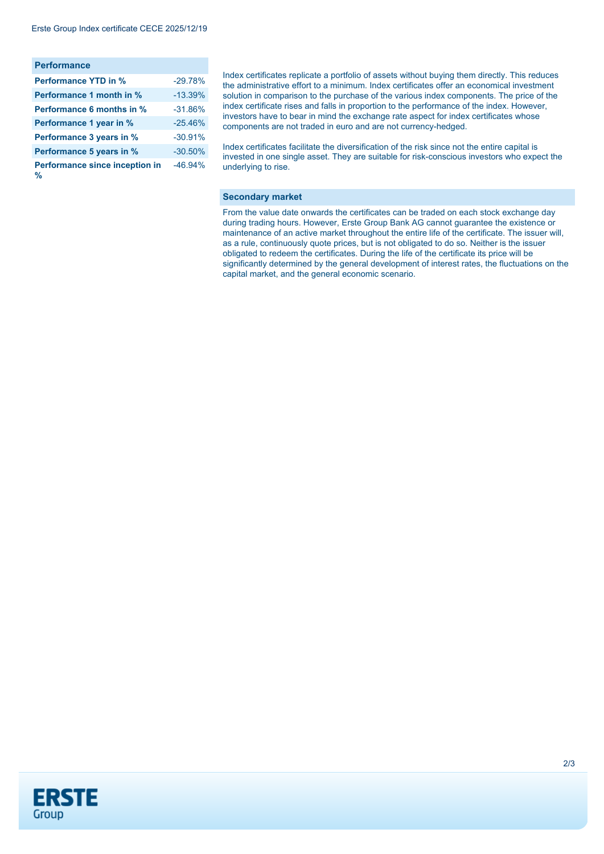| <b>Performance</b>                  |           |
|-------------------------------------|-----------|
| <b>Performance YTD in %</b>         | $-29.78%$ |
| <b>Performance 1 month in %</b>     | $-13.39%$ |
| <b>Performance 6 months in %</b>    | $-31.86%$ |
| Performance 1 year in %             | $-25.46%$ |
| Performance 3 years in %            | $-30.91%$ |
| Performance 5 years in %            | $-30.50%$ |
| Performance since inception in<br>℀ | $-46.94%$ |

Index certificates replicate a portfolio of assets without buying them directly. This reduces the administrative effort to a minimum. Index certificates offer an economical investment solution in comparison to the purchase of the various index components. The price of the index certificate rises and falls in proportion to the performance of the index. However, investors have to bear in mind the exchange rate aspect for index certificates whose components are not traded in euro and are not currency-hedged.

Index certificates facilitate the diversification of the risk since not the entire capital is invested in one single asset. They are suitable for risk-conscious investors who expect the underlying to rise.

#### **Secondary market**

From the value date onwards the certificates can be traded on each stock exchange day during trading hours. However, Erste Group Bank AG cannot guarantee the existence or maintenance of an active market throughout the entire life of the certificate. The issuer will, as a rule, continuously quote prices, but is not obligated to do so. Neither is the issuer obligated to redeem the certificates. During the life of the certificate its price will be significantly determined by the general development of interest rates, the fluctuations on the capital market, and the general economic scenario.